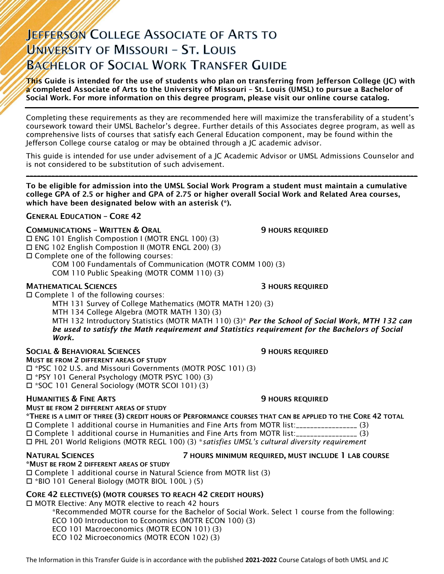# JEFFERSON COLLEGE ASSOCIATE OF ARTS TO UNIVERSITY OF MISSOURI - ST. LOUIS **BACHELOR OF SOCIAL WORK TRANSFER GUIDE**

 $\tau$ his Guide is intended for the use of students who plan on transferring from Jefferson College (JC) with a completed Associate of Arts to the University of Missouri – St. Louis (UMSL) to pursue a Bachelor of Social Work. For more information on this degree program, please visit our online course catalog.

Completing these requirements as they are recommended here will maximize the transferability of a student's coursework toward their UMSL Bachelor's degree. Further details of this Associates degree program, as well as comprehensive lists of courses that satisfy each General Education component, may be found within the Jefferson College course catalog or may be obtained through a JC academic advisor.

This guide is intended for use under advisement of a JC Academic Advisor or UMSL Admissions Counselor and is not considered to be substitution of such advisement. \_\_\_\_\_\_\_\_\_\_\_\_\_\_\_\_\_\_\_\_\_\_\_\_\_\_\_\_\_\_\_\_\_\_\_\_\_\_\_\_\_\_\_\_\_\_\_\_\_\_\_\_\_\_\_\_\_\_\_\_\_\_\_\_\_\_\_\_\_\_\_\_\_\_\_\_\_\_\_\_\_\_\_\_\_\_\_\_\_\_\_\_\_\_\_\_\_\_\_\_\_\_\_\_\_\_\_\_

To be eligible for admission into the UMSL Social Work Program a student must maintain a cumulative college GPA of 2.5 or higher and GPA of 2.75 or higher overall Social Work and Related Area courses, which have been designated below with an asterisk (\*).

# GENERAL EDUCATION – CORE 42

# **COMMUNICATIONS - WRITTEN & ORAL 5 AU SERVICE SEX ASSESSED AT AU SERVICE SEX AU SERVICE OF SERVICE D**

 ENG 101 English Compostion I (MOTR ENGL 100) (3) ENG 102 English Compostion II (MOTR ENGL 200) (3) Complete one of the following courses:

COM 100 Fundamentals of Communication (MOTR COMM 100) (3)

COM 110 Public Speaking (MOTR COMM 110) (3)

### MATHEMATICAL SCIENCES 3 HOURS REQUIRED

 $\square$  Complete 1 of the following courses:

MTH 131 Survey of College Mathematics (MOTR MATH 120) (3)

MTH 134 College Algebra (MOTR MATH 130) (3)

MTH 132 Introductory Statistics (MOTR MATH 110) (3)\* *Per the School of Social Work, MTH 132 can be used to satisfy the Math requirement and Statistics requirement for the Bachelors of Social Work.*

# SOCIAL & BEHAVIORAL SCIENCES **FOURTHER** 19 HOURS REQUIRED

MUST BE FROM 2 DIFFERENT AREAS OF STUDY \*PSC 102 U.S. and Missouri Governments (MOTR POSC 101) (3)

\*PSY 101 General Psychology (MOTR PSYC 100) (3)

\*SOC 101 General Sociology (MOTR SCOI 101) (3)

# **HUMANITIES & FINE ARTS 19 ACCESS 20 HOURS REQUIRED**

# MUST BE FROM 2 DIFFERENT AREAS OF STUDY

\*THERE IS A LIMIT OF THREE (3) CREDIT HOURS OF PERFORMANCE COURSES THAT CAN BE APPLIED TO THE CORE 42 TOTAL Complete 1 additional course in Humanities and Fine Arts from MOTR list:\_\_\_\_\_\_\_\_\_\_\_\_\_\_\_\_\_ (3) Complete 1 additional course in Humanities and Fine Arts from MOTR list:\_\_\_\_\_\_\_\_\_\_\_\_\_\_\_\_\_ (3) PHL 201 World Religions (MOTR REGL 100) (3) \**satisfies UMSL's cultural diversity requirement*

# NATURAL SCIENCES 7 HOURS MINIMUM REQUIRED, MUST INCLUDE 1 LAB COURSE

\*MUST BE FROM 2 DIFFERENT AREAS OF STUDY Complete 1 additional course in Natural Science from MOTR list (3) \*BIO 101 General Biology (MOTR BIOL 100L ) (5)

# CORE 42 ELECTIVE(S) (MOTR COURSES TO REACH 42 CREDIT HOURS)

□ MOTR Elective: Any MOTR elective to reach 42 hours \*Recommended MOTR course for the Bachelor of Social Work. Select 1 course from the following: ECO 100 Introduction to Economics (MOTR ECON 100) (3) ECO 101 Macroeconomics (MOTR ECON 101) (3) ECO 102 Microeconomics (MOTR ECON 102) (3)